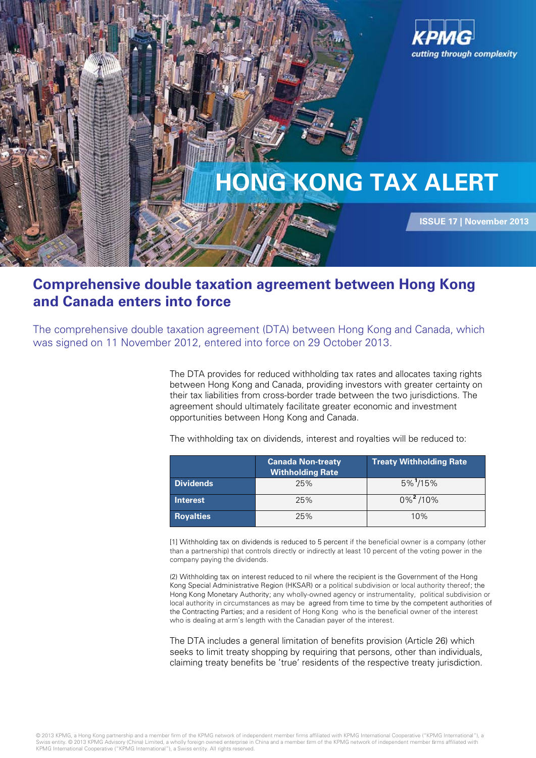

## **Comprehensive double taxation agreement between Hong Kong and Canada enters into force**

The comprehensive double taxation agreement (DTA) between Hong Kong and Canada, which was signed on 11 November 2012, entered into force on 29 October 2013.

> The DTA provides for reduced withholding tax rates and allocates taxing rights between Hong Kong and Canada, providing investors with greater certainty on their tax liabilities from cross-border trade between the two jurisdictions. The agreement should ultimately facilitate greater economic and investment opportunities between Hong Kong and Canada.

| The withholding tax on dividends, interest and royalties will be reduced to: |  |  |
|------------------------------------------------------------------------------|--|--|
|                                                                              |  |  |

|                  | <b>Canada Non-treaty</b><br><b>Withholding Rate</b> | <b>Treaty Withholding Rate</b> |  |
|------------------|-----------------------------------------------------|--------------------------------|--|
| <b>Dividends</b> | 25%                                                 | $5\%$ <sup>1</sup> /15%        |  |
| <b>Interest</b>  | 25%                                                 | $0\%$ <sup>2</sup> /10%        |  |
| <b>Royalties</b> | 25%                                                 | 10%                            |  |

[1] Withholding tax on dividends is reduced to 5 percent if the beneficial owner is a company (other than a partnership) that controls directly or indirectly at least 10 percent of the voting power in the company paying the dividends.

(2) Withholding tax on interest reduced to nil where the recipient is the Government of the Hong Kong Special Administrative Region (HKSAR) or a political subdivision or local authority thereof; the Hong Kong Monetary Authority; any wholly-owned agency or instrumentality, political subdivision or local authority in circumstances as may be agreed from time to time by the competent authorities of the Contracting Parties; and a resident of Hong Kong who is the beneficial owner of the interest who is dealing at arm's length with the Canadian payer of the interest.

The DTA includes a general limitation of benefits provision (Article 26) which seeks to limit treaty shopping by requiring that persons, other than individuals, claiming treaty benefits be 'true' residents of the respective treaty jurisdiction.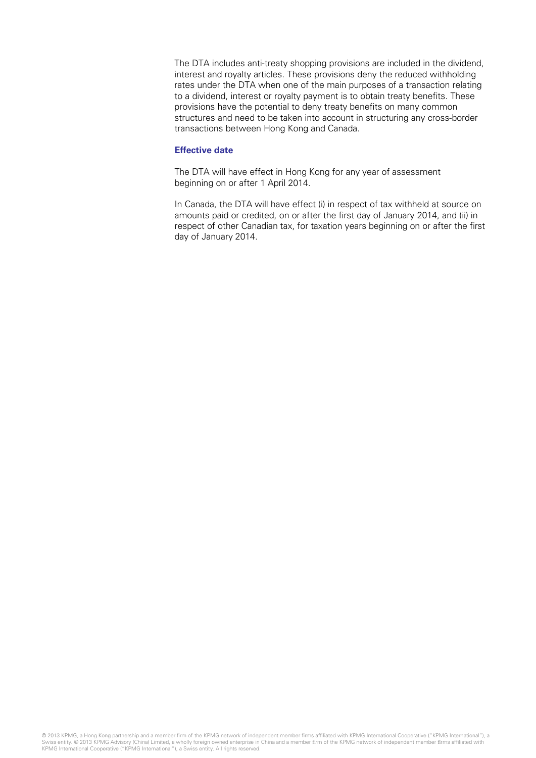The DTA includes anti-treaty shopping provisions are included in the dividend, interest and royalty articles. These provisions deny the reduced withholding rates under the DTA when one of the main purposes of a transaction relating to a dividend, interest or royalty payment is to obtain treaty benefits. These provisions have the potential to deny treaty benefits on many common structures and need to be taken into account in structuring any cross-border transactions between Hong Kong and Canada.

## **Effective date**

The DTA will have effect in Hong Kong for any year of assessment beginning on or after 1 April 2014.

In Canada, the DTA will have effect (i) in respect of tax withheld at source on amounts paid or credited, on or after the first day of January 2014, and (ii) in respect of other Canadian tax, for taxation years beginning on or after the first day of January 2014.